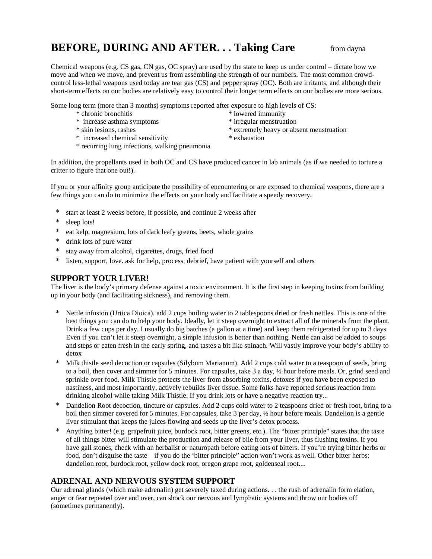# **BEFORE, DURING AND AFTER... Taking Care** from dayna

Chemical weapons (e.g. CS gas, CN gas, OC spray) are used by the state to keep us under control – dictate how we move and when we move, and prevent us from assembling the strength of our numbers. The most common crowdcontrol less-lethal weapons used today are tear gas (CS) and pepper spray (OC). Both are irritants, and although their short-term effects on our bodies are relatively easy to control their longer term effects on our bodies are more serious.

Some long term (more than 3 months) symptoms reported after exposure to high levels of CS:

- \* chronic bronchitis \* lowered immunity
- \* increase asthma symptoms \* \* irregular menstruation
- 
- \* increased chemical sensitivity \* exhaustion
- \* recurring lung infections, walking pneumonia

- \* skin lesions, rashes \* extremely heavy or absent menstruation
	-

In addition, the propellants used in both OC and CS have produced cancer in lab animals (as if we needed to torture a critter to figure that one out!).

If you or your affinity group anticipate the possibility of encountering or are exposed to chemical weapons, there are a few things you can do to minimize the effects on your body and facilitate a speedy recovery.

- start at least 2 weeks before, if possible, and continue 2 weeks after
- sleep lots!
- eat kelp, magnesium, lots of dark leafy greens, beets, whole grains
- drink lots of pure water
- stay away from alcohol, cigarettes, drugs, fried food
- listen, support, love. ask for help, process, debrief, have patient with yourself and others

#### **SUPPORT YOUR LIVER!**

The liver is the body's primary defense against a toxic environment. It is the first step in keeping toxins from building up in your body (and facilitating sickness), and removing them.

- Nettle infusion (Urtica Dioica). add 2 cups boiling water to 2 tablespoons dried or fresh nettles. This is one of the best things you can do to help your body. Ideally, let it steep overnight to extract all of the minerals from the plant. Drink a few cups per day. I usually do big batches (a gallon at a time) and keep them refrigerated for up to 3 days. Even if you can't let it steep overnight, a simple infusion is better than nothing. Nettle can also be added to soups and steps or eaten fresh in the early spring, and tastes a bit like spinach. Will vastly improve your body's ability to detox
- \* Milk thistle seed decoction or capsules (Silybum Marianum). Add 2 cups cold water to a teaspoon of seeds, bring to a boil, then cover and simmer for 5 minutes. For capsules, take 3 a day, ½ hour before meals. Or, grind seed and sprinkle over food. Milk Thistle protects the liver from absorbing toxins, detoxes if you have been exposed to nastiness, and most importantly, actively rebuilds liver tissue. Some folks have reported serious reaction from drinking alcohol while taking Milk Thistle. If you drink lots or have a negative reaction try...
- Dandelion Root decoction, tincture or capsules. Add 2 cups cold water to 2 teaspoons dried or fresh root, bring to a boil then simmer covered for 5 minutes. For capsules, take 3 per day, ½ hour before meals. Dandelion is a gentle liver stimulant that keeps the juices flowing and seeds up the liver's detox process.
- Anything bitter! (e.g. grapefruit juice, burdock root, bitter greens, etc.). The "bitter principle" states that the taste of all things bitter will stimulate the production and release of bile from your liver, thus flushing toxins. If you have gall stones, check with an herbalist or naturopath before eating lots of bitters. If you're trying bitter herbs or food, don't disguise the taste – if you do the 'bitter principle" action won't work as well. Other bitter herbs: dandelion root, burdock root, yellow dock root, oregon grape root, goldenseal root....

## **ADRENAL AND NERVOUS SYSTEM SUPPORT**

Our adrenal glands (which make adrenalin) get severely taxed during actions. . . the rush of adrenalin form elation, anger or fear repeated over and over, can shock our nervous and lymphatic systems and throw our bodies off (sometimes permanently).